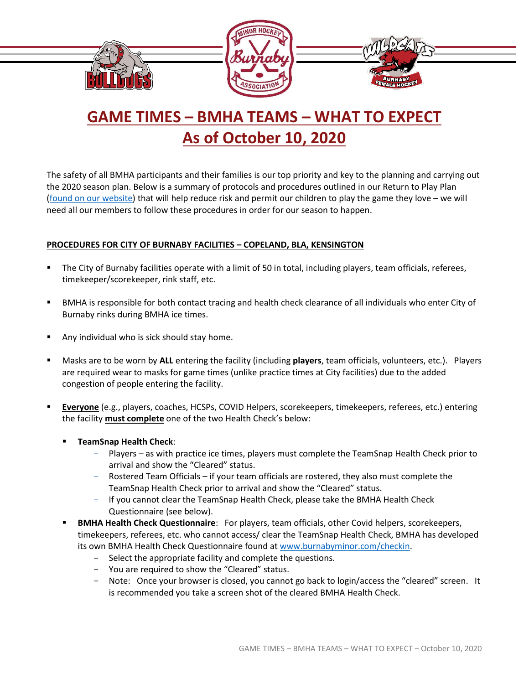

## **GAME TIMES – BMHA TEAMS – WHAT TO EXPECT As of October 10, 2020**

The safety of all BMHA participants and their families is our top priority and key to the planning and carrying out the 2020 season plan. Below is a summary of protocols and procedures outlined in our Return to Play Plan [\(found on our website\)](https://www.burnabyminor.com/covid-19/) that will help reduce risk and permit our children to play the game they love – we will need all our members to follow these procedures in order for our season to happen.

## **PROCEDURES FOR CITY OF BURNABY FACILITIES – COPELAND, BLA, KENSINGTON**

- The City of Burnaby facilities operate with a limit of 50 in total, including players, team officials, referees, timekeeper/scorekeeper, rink staff, etc.
- BMHA is responsible for both contact tracing and health check clearance of all individuals who enter City of Burnaby rinks during BMHA ice times.
- Any individual who is sick should stay home.
- Masks are to be worn by ALL entering the facility (including *players*, team officials, volunteers, etc.). Players are required wear to masks for game times (unlike practice times at City facilities) due to the added congestion of people entering the facility.
- Everyone (e.g., players, coaches, HCSPs, COVID Helpers, scorekeepers, timekeepers, referees, etc.) entering the facility **must complete** one of the two Health Check's below:
	- **TeamSnap Health Check**:
		- Players as with practice ice times, players must complete the TeamSnap Health Check prior to arrival and show the "Cleared" status.
		- Rostered Team Officials if your team officials are rostered, they also must complete the TeamSnap Health Check prior to arrival and show the "Cleared" status.
		- If you cannot clear the TeamSnap Health Check, please take the BMHA Health Check Questionnaire (see below).
	- **BMHA Health Check Questionnaire**: For players, team officials, other Covid helpers, scorekeepers, timekeepers, referees, etc. who cannot access/ clear the TeamSnap Health Check, BMHA has developed its own BMHA Health Check Questionnaire found at [www.burnabyminor.com/checkin.](http://www.burnabyminor.com/checkin)
		- Select the appropriate facility and complete the questions.
		- You are required to show the "Cleared" status.
		- Note: Once your browser is closed, you cannot go back to login/access the "cleared" screen. It is recommended you take a screen shot of the cleared BMHA Health Check.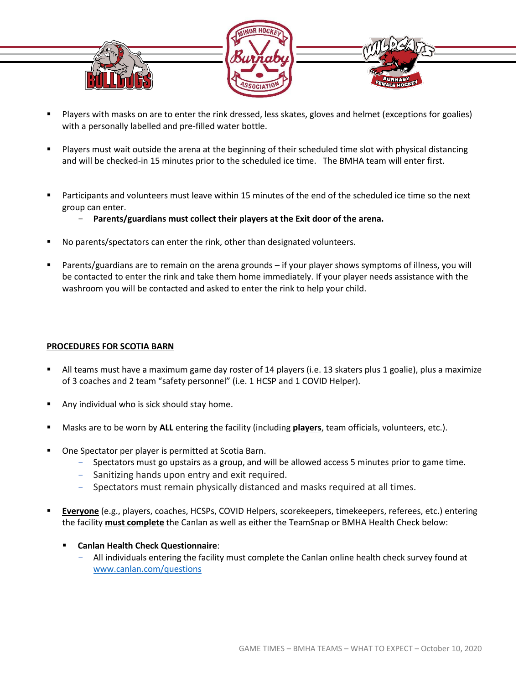

- Players with masks on are to enter the rink dressed, less skates, gloves and helmet (exceptions for goalies) with a personally labelled and pre-filled water bottle.
- Players must wait outside the arena at the beginning of their scheduled time slot with physical distancing and will be checked-in 15 minutes prior to the scheduled ice time. The BMHA team will enter first.
- Participants and volunteers must leave within 15 minutes of the end of the scheduled ice time so the next group can enter.
	- **Parents/guardians must collect their players at the Exit door of the arena.**
- No parents/spectators can enter the rink, other than designated volunteers.
- Parents/guardians are to remain on the arena grounds if your player shows symptoms of illness, you will be contacted to enter the rink and take them home immediately. If your player needs assistance with the washroom you will be contacted and asked to enter the rink to help your child.

## **PROCEDURES FOR SCOTIA BARN**

- All teams must have a maximum game day roster of 14 players (i.e. 13 skaters plus 1 goalie), plus a maximize of 3 coaches and 2 team "safety personnel" (i.e. 1 HCSP and 1 COVID Helper).
- Any individual who is sick should stay home.
- Masks are to be worn by ALL entering the facility (including players, team officials, volunteers, etc.).
- One Spectator per player is permitted at Scotia Barn.
	- Spectators must go upstairs as a group, and will be allowed access 5 minutes prior to game time.
	- Sanitizing hands upon entry and exit required.
	- Spectators must remain physically distanced and masks required at all times.
- **Everyone** (e.g., players, coaches, HCSPs, COVID Helpers, scorekeepers, timekeepers, referees, etc.) entering the facility **must complete** the Canlan as well as either the TeamSnap or BMHA Health Check below:
	- **Canlan Health Check Questionnaire**:
		- All individuals entering the facility must complete the Canlan online health check survey found at [www.canlan.com/questions](http://www.canlan.com/questions)